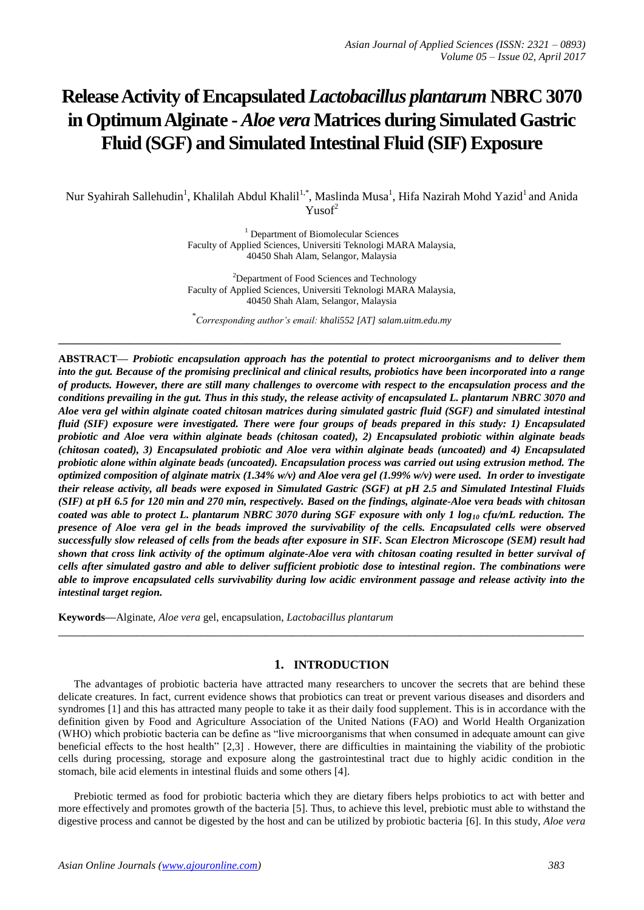# **Release Activity of Encapsulated** *Lactobacillus plantarum* **NBRC 3070 in Optimum Alginate -** *Aloe vera* **Matrices during Simulated Gastric Fluid (SGF) and Simulated Intestinal Fluid (SIF) Exposure**

Nur Syahirah Sallehudin<sup>1</sup>, Khalilah Abdul Khalil<sup>1,\*</sup>, Maslinda Musa<sup>1</sup>, Hifa Nazirah Mohd Yazid<sup>1</sup> and Anida  $Y<sub>usof</sub><sup>2</sup>$ 

> <sup>1</sup> Department of Biomolecular Sciences Faculty of Applied Sciences, Universiti Teknologi MARA Malaysia, 40450 Shah Alam, Selangor, Malaysia

> <sup>2</sup>Department of Food Sciences and Technology Faculty of Applied Sciences, Universiti Teknologi MARA Malaysia, 40450 Shah Alam, Selangor, Malaysia

\* *Corresponding author's email: khali552 [AT] salam.uitm.edu.my*

**\_\_\_\_\_\_\_\_\_\_\_\_\_\_\_\_\_\_\_\_\_\_\_\_\_\_\_\_\_\_\_\_\_\_\_\_\_\_\_\_\_\_\_\_\_\_\_\_\_\_\_\_\_\_\_\_\_\_\_\_\_\_\_\_\_\_\_\_\_\_\_\_\_\_\_\_\_\_\_\_\_\_\_\_\_\_\_\_\_\_\_\_\_**

**ABSTRACT—** *Probiotic encapsulation approach has the potential to protect microorganisms and to deliver them into the gut. Because of the promising preclinical and clinical results, probiotics have been incorporated into a range of products. However, there are still many challenges to overcome with respect to the encapsulation process and the conditions prevailing in the gut. Thus in this study, the release activity of encapsulated L. plantarum NBRC 3070 and Aloe vera gel within alginate coated chitosan matrices during simulated gastric fluid (SGF) and simulated intestinal fluid (SIF) exposure were investigated. There were four groups of beads prepared in this study: 1) Encapsulated probiotic and Aloe vera within alginate beads (chitosan coated), 2) Encapsulated probiotic within alginate beads (chitosan coated), 3) Encapsulated probiotic and Aloe vera within alginate beads (uncoated) and 4) Encapsulated probiotic alone within alginate beads (uncoated). Encapsulation process was carried out using extrusion method. The optimized composition of alginate matrix (1.34% w/v) and Aloe vera gel (1.99% w/v) were used. In order to investigate their release activity, all beads were exposed in Simulated Gastric (SGF) at pH 2.5 and Simulated Intestinal Fluids (SIF) at pH 6.5 for 120 min and 270 min, respectively. Based on the findings, alginate-Aloe vera beads with chitosan coated was able to protect L. plantarum NBRC 3070 during SGF exposure with only 1 log<sup>10</sup> cfu/mL reduction. The presence of Aloe vera gel in the beads improved the survivability of the cells. Encapsulated cells were observed successfully slow released of cells from the beads after exposure in SIF. Scan Electron Microscope (SEM) result had shown that cross link activity of the optimum alginate-Aloe vera with chitosan coating resulted in better survival of cells after simulated gastro and able to deliver sufficient probiotic dose to intestinal region. The combinations were able to improve encapsulated cells survivability during low acidic environment passage and release activity into the intestinal target region.* 

**Keywords—**Alginate, *Aloe vera* gel, encapsulation, *Lactobacillus plantarum*

#### **1. INTRODUCTION**

\_\_\_\_\_\_\_\_\_\_\_\_\_\_\_\_\_\_\_\_\_\_\_\_\_\_\_\_\_\_\_\_\_\_\_\_\_\_\_\_\_\_\_\_\_\_\_\_\_\_\_\_\_\_\_\_\_\_\_\_\_\_\_\_\_\_\_\_\_\_\_\_\_\_\_\_\_\_\_\_\_

The advantages of probiotic bacteria have attracted many researchers to uncover the secrets that are behind these delicate creatures. In fact, current evidence shows that probiotics can treat or prevent various diseases and disorders and syndromes [1] and this has attracted many people to take it as their daily food supplement. This is in accordance with the definition given by Food and Agriculture Association of the United Nations (FAO) and World Health Organization (WHO) which probiotic bacteria can be define as "live microorganisms that when consumed in adequate amount can give beneficial effects to the host health" [2,3] . However, there are difficulties in maintaining the viability of the probiotic cells during processing, storage and exposure along the gastrointestinal tract due to highly acidic condition in the stomach, bile acid elements in intestinal fluids and some others [4].

Prebiotic termed as food for probiotic bacteria which they are dietary fibers helps probiotics to act with better and more effectively and promotes growth of the bacteria [5]. Thus, to achieve this level, prebiotic must able to withstand the digestive process and cannot be digested by the host and can be utilized by probiotic bacteria [6]. In this study, *Aloe vera*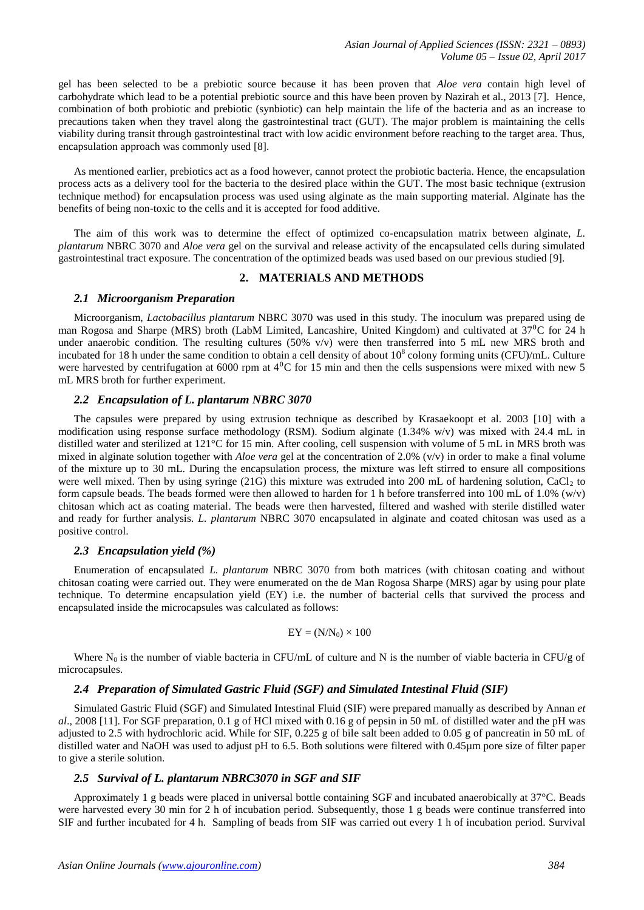gel has been selected to be a prebiotic source because it has been proven that *Aloe vera* contain high level of carbohydrate which lead to be a potential prebiotic source and this have been proven by Nazirah et al., 2013 [7]. Hence, combination of both probiotic and prebiotic (synbiotic) can help maintain the life of the bacteria and as an increase to precautions taken when they travel along the gastrointestinal tract (GUT). The major problem is maintaining the cells viability during transit through gastrointestinal tract with low acidic environment before reaching to the target area. Thus, encapsulation approach was commonly used [8].

As mentioned earlier, prebiotics act as a food however, cannot protect the probiotic bacteria. Hence, the encapsulation process acts as a delivery tool for the bacteria to the desired place within the GUT. The most basic technique (extrusion technique method) for encapsulation process was used using alginate as the main supporting material. Alginate has the benefits of being non-toxic to the cells and it is accepted for food additive.

The aim of this work was to determine the effect of optimized co-encapsulation matrix between alginate, *L. plantarum* NBRC 3070 and *Aloe vera* gel on the survival and release activity of the encapsulated cells during simulated gastrointestinal tract exposure. The concentration of the optimized beads was used based on our previous studied [9].

#### **2. MATERIALS AND METHODS**

#### *2.1 Microorganism Preparation*

Microorganism, *Lactobacillus plantarum* NBRC 3070 was used in this study. The inoculum was prepared using de man Rogosa and Sharpe (MRS) broth (LabM Limited, Lancashire, United Kingdom) and cultivated at  $37^{\circ}$ C for 24 h under anaerobic condition. The resulting cultures (50% v/v) were then transferred into 5 mL new MRS broth and incubated for 18 h under the same condition to obtain a cell density of about  $10^8$  colony forming units (CFU)/mL. Culture were harvested by centrifugation at 6000 rpm at  $4^{\circ}$ C for 15 min and then the cells suspensions were mixed with new 5 mL MRS broth for further experiment.

#### *2.2 Encapsulation of L. plantarum NBRC 3070*

The capsules were prepared by using extrusion technique as described by Krasaekoopt et al. 2003 [10] with a modification using response surface methodology (RSM). Sodium alginate (1.34% w/v) was mixed with 24.4 mL in distilled water and sterilized at 121°C for 15 min. After cooling, cell suspension with volume of 5 mL in MRS broth was mixed in alginate solution together with *Aloe vera* gel at the concentration of 2.0% (v/v) in order to make a final volume of the mixture up to 30 mL. During the encapsulation process, the mixture was left stirred to ensure all compositions were well mixed. Then by using syringe (21G) this mixture was extruded into 200 mL of hardening solution, CaCl<sub>2</sub> to form capsule beads. The beads formed were then allowed to harden for 1 h before transferred into 100 mL of 1.0% (w/v) chitosan which act as coating material. The beads were then harvested, filtered and washed with sterile distilled water and ready for further analysis. *L. plantarum* NBRC 3070 encapsulated in alginate and coated chitosan was used as a positive control.

#### *2.3 Encapsulation yield (%)*

Enumeration of encapsulated *L. plantarum* NBRC 3070 from both matrices (with chitosan coating and without chitosan coating were carried out. They were enumerated on the de Man Rogosa Sharpe (MRS) agar by using pour plate technique. To determine encapsulation yield (EY) i.e. the number of bacterial cells that survived the process and encapsulated inside the microcapsules was calculated as follows:

$$
EY = (N/N_0) \times 100
$$

Where  $N_0$  is the number of viable bacteria in CFU/mL of culture and N is the number of viable bacteria in CFU/g of microcapsules.

#### *2.4 Preparation of Simulated Gastric Fluid (SGF) and Simulated Intestinal Fluid (SIF)*

Simulated Gastric Fluid (SGF) and Simulated Intestinal Fluid (SIF) were prepared manually as described by Annan *et al*., 2008 [11]. For SGF preparation, 0.1 g of HCl mixed with 0.16 g of pepsin in 50 mL of distilled water and the pH was adjusted to 2.5 with hydrochloric acid. While for SIF, 0.225 g of bile salt been added to 0.05 g of pancreatin in 50 mL of distilled water and NaOH was used to adjust pH to 6.5. Both solutions were filtered with 0.45µm pore size of filter paper to give a sterile solution.

#### *2.5 Survival of L. plantarum NBRC3070 in SGF and SIF*

Approximately 1 g beads were placed in universal bottle containing SGF and incubated anaerobically at 37°C. Beads were harvested every 30 min for 2 h of incubation period. Subsequently, those 1 g beads were continue transferred into SIF and further incubated for 4 h. Sampling of beads from SIF was carried out every 1 h of incubation period. Survival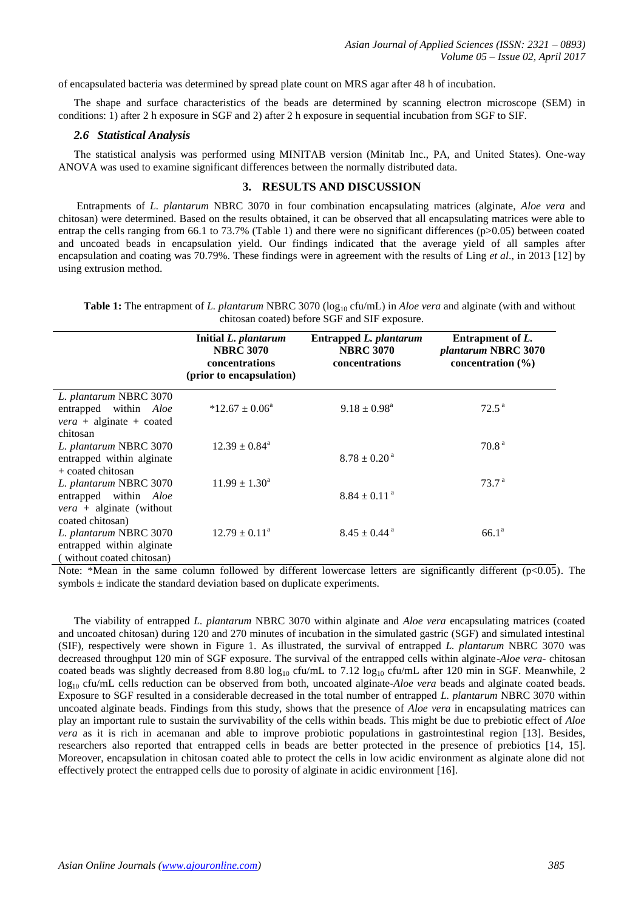of encapsulated bacteria was determined by spread plate count on MRS agar after 48 h of incubation.

The shape and surface characteristics of the beads are determined by scanning electron microscope (SEM) in conditions: 1) after 2 h exposure in SGF and 2) after 2 h exposure in sequential incubation from SGF to SIF.

### *2.6 Statistical Analysis*

The statistical analysis was performed using MINITAB version (Minitab Inc., PA, and United States). One-way ANOVA was used to examine significant differences between the normally distributed data.

#### **3. RESULTS AND DISCUSSION**

Entrapments of *L. plantarum* NBRC 3070 in four combination encapsulating matrices (alginate, *Aloe vera* and chitosan) were determined. Based on the results obtained, it can be observed that all encapsulating matrices were able to entrap the cells ranging from 66.1 to 73.7% (Table 1) and there were no significant differences ( $p$ >0.05) between coated and uncoated beads in encapsulation yield. Our findings indicated that the average yield of all samples after encapsulation and coating was 70.79%. These findings were in agreement with the results of Ling *et al*., in 2013 [12] by using extrusion method.

**Table 1:** The entrapment of *L. plantarum* NBRC 3070 (log<sub>10</sub> cfu/mL) in *Aloe vera* and alginate (with and without chitosan coated) before SGF and SIF exposure.

|                                                                                                      | Initial L. plantarum<br><b>NBRC 3070</b><br>concentrations<br>(prior to encapsulation) | Entrapped L. plantarum<br><b>NBRC 3070</b><br>concentrations | Entrapment of L.<br>plantarum NBRC 3070<br>concentration $(\% )$ |
|------------------------------------------------------------------------------------------------------|----------------------------------------------------------------------------------------|--------------------------------------------------------------|------------------------------------------------------------------|
| L. plantarum NBRC 3070<br>entrapped within Aloe<br>$\nu era$ + alginate + coated<br>chitosan         | $*12.67 \pm 0.06^{\circ}$                                                              | $9.18 \pm 0.98^{\text{a}}$                                   | $72.5^{\text{a}}$                                                |
| L. plantarum NBRC 3070<br>entrapped within alginate<br>$+$ coated chitosan                           | $12.39 \pm 0.84^a$                                                                     | $8.78 \pm 0.20$ <sup>a</sup>                                 | 70.8 <sup>a</sup>                                                |
| L. plantarum NBRC 3070<br>entrapped within Aloe<br>$\nu era$ + alginate (without<br>coated chitosan) | $11.99 \pm 1.30^a$                                                                     | $8.84 \pm 0.11$ <sup>a</sup>                                 | 73.7 <sup>a</sup>                                                |
| L. plantarum NBRC 3070<br>entrapped within alginate<br>(without coated chitosan)                     | $12.79 \pm 0.11^a$                                                                     | $8.45 \pm 0.44$ <sup>a</sup>                                 | 66.1 <sup>a</sup>                                                |

Note: \*Mean in the same column followed by different lowercase letters are significantly different (p<0.05). The symbols  $\pm$  indicate the standard deviation based on duplicate experiments.

The viability of entrapped *L. plantarum* NBRC 3070 within alginate and *Aloe vera* encapsulating matrices (coated and uncoated chitosan) during 120 and 270 minutes of incubation in the simulated gastric (SGF) and simulated intestinal (SIF), respectively were shown in Figure 1. As illustrated, the survival of entrapped *L. plantarum* NBRC 3070 was decreased throughput 120 min of SGF exposure. The survival of the entrapped cells within alginate-*Aloe vera*- chitosan coated beads was slightly decreased from 8.80 log<sub>10</sub> cfu/mL to 7.12 log<sub>10</sub> cfu/mL after 120 min in SGF. Meanwhile, 2 log<sup>10</sup> cfu/mL cells reduction can be observed from both, uncoated alginate-*Aloe vera* beads and alginate coated beads. Exposure to SGF resulted in a considerable decreased in the total number of entrapped *L. plantarum* NBRC 3070 within uncoated alginate beads. Findings from this study, shows that the presence of *Aloe vera* in encapsulating matrices can play an important rule to sustain the survivability of the cells within beads. This might be due to prebiotic effect of *Aloe vera* as it is rich in acemanan and able to improve probiotic populations in gastrointestinal region [13]. Besides, researchers also reported that entrapped cells in beads are better protected in the presence of prebiotics [14, 15]. Moreover, encapsulation in chitosan coated able to protect the cells in low acidic environment as alginate alone did not effectively protect the entrapped cells due to porosity of alginate in acidic environment [16].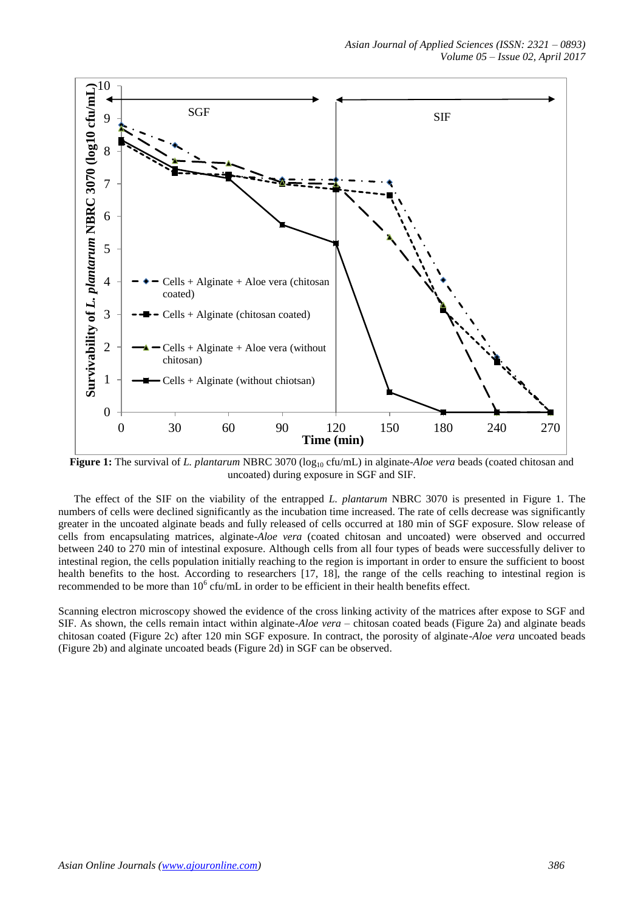

**Figure 1:** The survival of *L. plantarum* NBRC 3070 (log<sub>10</sub> cfu/mL) in alginate-*Aloe vera* beads (coated chitosan and uncoated) during exposure in SGF and SIF.

The effect of the SIF on the viability of the entrapped *L. plantarum* NBRC 3070 is presented in Figure 1. The numbers of cells were declined significantly as the incubation time increased. The rate of cells decrease was significantly greater in the uncoated alginate beads and fully released of cells occurred at 180 min of SGF exposure. Slow release of cells from encapsulating matrices, alginate-*Aloe vera* (coated chitosan and uncoated) were observed and occurred between 240 to 270 min of intestinal exposure. Although cells from all four types of beads were successfully deliver to intestinal region, the cells population initially reaching to the region is important in order to ensure the sufficient to boost health benefits to the host. According to researchers [17, 18], the range of the cells reaching to intestinal region is recommended to be more than  $10^6$  cfu/mL in order to be efficient in their health benefits effect.

Scanning electron microscopy showed the evidence of the cross linking activity of the matrices after expose to SGF and SIF. As shown, the cells remain intact within alginate-*Aloe vera* – chitosan coated beads (Figure 2a) and alginate beads chitosan coated (Figure 2c) after 120 min SGF exposure. In contract, the porosity of alginate-*Aloe vera* uncoated beads (Figure 2b) and alginate uncoated beads (Figure 2d) in SGF can be observed.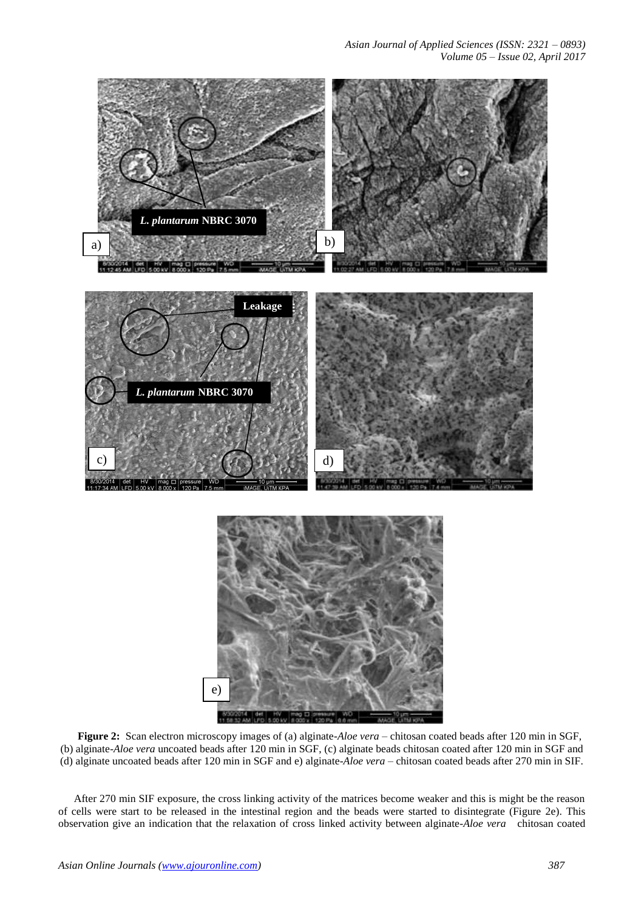*Asian Journal of Applied Sciences (ISSN: 2321 – 0893) Volume 05 – Issue 02, April 2017*



**Figure 2:** Scan electron microscopy images of (a) alginate-*Aloe vera* – chitosan coated beads after 120 min in SGF, (b) alginate-*Aloe vera* uncoated beads after 120 min in SGF, (c) alginate beads chitosan coated after 120 min in SGF and (d) alginate uncoated beads after 120 min in SGF and e) alginate-*Aloe vera* – chitosan coated beads after 270 min in SIF.

After 270 min SIF exposure, the cross linking activity of the matrices become weaker and this is might be the reason of cells were start to be released in the intestinal region and the beads were started to disintegrate (Figure 2e). This observation give an indication that the relaxation of cross linked activity between alginate-*Aloe vera* chitosan coated